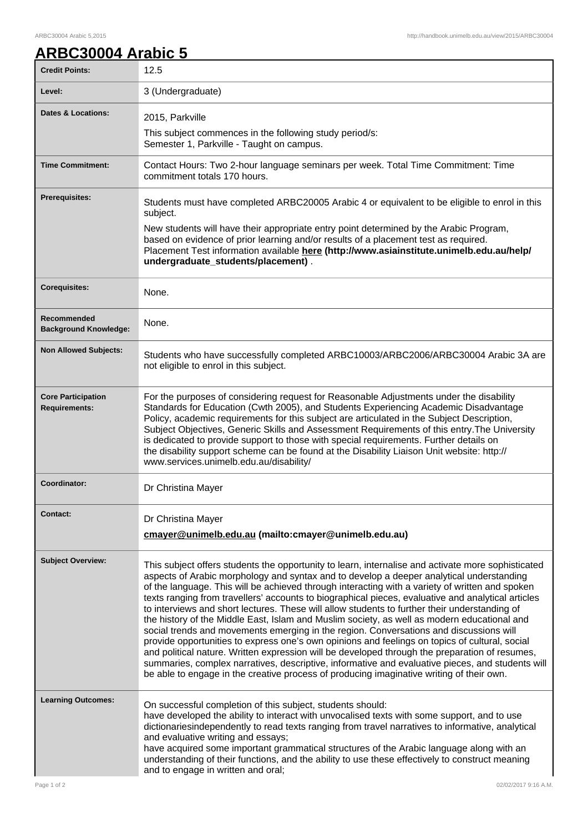## **ARBC30004 Arabic 5**

| <b>Credit Points:</b>                             | 12.5                                                                                                                                                                                                                                                                                                                                                                                                                                                                                                                                                                                                                                                                                                                                                                                                                                                                                                                                                                                                                                                                                                  |
|---------------------------------------------------|-------------------------------------------------------------------------------------------------------------------------------------------------------------------------------------------------------------------------------------------------------------------------------------------------------------------------------------------------------------------------------------------------------------------------------------------------------------------------------------------------------------------------------------------------------------------------------------------------------------------------------------------------------------------------------------------------------------------------------------------------------------------------------------------------------------------------------------------------------------------------------------------------------------------------------------------------------------------------------------------------------------------------------------------------------------------------------------------------------|
| Level:                                            | 3 (Undergraduate)                                                                                                                                                                                                                                                                                                                                                                                                                                                                                                                                                                                                                                                                                                                                                                                                                                                                                                                                                                                                                                                                                     |
| <b>Dates &amp; Locations:</b>                     | 2015, Parkville                                                                                                                                                                                                                                                                                                                                                                                                                                                                                                                                                                                                                                                                                                                                                                                                                                                                                                                                                                                                                                                                                       |
|                                                   | This subject commences in the following study period/s:<br>Semester 1, Parkville - Taught on campus.                                                                                                                                                                                                                                                                                                                                                                                                                                                                                                                                                                                                                                                                                                                                                                                                                                                                                                                                                                                                  |
| <b>Time Commitment:</b>                           | Contact Hours: Two 2-hour language seminars per week. Total Time Commitment: Time<br>commitment totals 170 hours.                                                                                                                                                                                                                                                                                                                                                                                                                                                                                                                                                                                                                                                                                                                                                                                                                                                                                                                                                                                     |
| <b>Prerequisites:</b>                             | Students must have completed ARBC20005 Arabic 4 or equivalent to be eligible to enrol in this<br>subject.                                                                                                                                                                                                                                                                                                                                                                                                                                                                                                                                                                                                                                                                                                                                                                                                                                                                                                                                                                                             |
|                                                   | New students will have their appropriate entry point determined by the Arabic Program,<br>based on evidence of prior learning and/or results of a placement test as required.<br>Placement Test information available here (http://www.asiainstitute.unimelb.edu.au/help/<br>undergraduate_students/placement).                                                                                                                                                                                                                                                                                                                                                                                                                                                                                                                                                                                                                                                                                                                                                                                       |
| <b>Corequisites:</b>                              | None.                                                                                                                                                                                                                                                                                                                                                                                                                                                                                                                                                                                                                                                                                                                                                                                                                                                                                                                                                                                                                                                                                                 |
| Recommended<br><b>Background Knowledge:</b>       | None.                                                                                                                                                                                                                                                                                                                                                                                                                                                                                                                                                                                                                                                                                                                                                                                                                                                                                                                                                                                                                                                                                                 |
| <b>Non Allowed Subjects:</b>                      | Students who have successfully completed ARBC10003/ARBC2006/ARBC30004 Arabic 3A are<br>not eligible to enrol in this subject.                                                                                                                                                                                                                                                                                                                                                                                                                                                                                                                                                                                                                                                                                                                                                                                                                                                                                                                                                                         |
| <b>Core Participation</b><br><b>Requirements:</b> | For the purposes of considering request for Reasonable Adjustments under the disability<br>Standards for Education (Cwth 2005), and Students Experiencing Academic Disadvantage<br>Policy, academic requirements for this subject are articulated in the Subject Description,<br>Subject Objectives, Generic Skills and Assessment Requirements of this entry. The University<br>is dedicated to provide support to those with special requirements. Further details on<br>the disability support scheme can be found at the Disability Liaison Unit website: http://<br>www.services.unimelb.edu.au/disability/                                                                                                                                                                                                                                                                                                                                                                                                                                                                                      |
| <b>Coordinator:</b>                               | Dr Christina Mayer                                                                                                                                                                                                                                                                                                                                                                                                                                                                                                                                                                                                                                                                                                                                                                                                                                                                                                                                                                                                                                                                                    |
| Contact:                                          | Dr Christina Mayer<br>cmayer@unimelb.edu.au (mailto:cmayer@unimelb.edu.au)                                                                                                                                                                                                                                                                                                                                                                                                                                                                                                                                                                                                                                                                                                                                                                                                                                                                                                                                                                                                                            |
| <b>Subject Overview:</b>                          | This subject offers students the opportunity to learn, internalise and activate more sophisticated<br>aspects of Arabic morphology and syntax and to develop a deeper analytical understanding<br>of the language. This will be achieved through interacting with a variety of written and spoken<br>texts ranging from travellers' accounts to biographical pieces, evaluative and analytical articles<br>to interviews and short lectures. These will allow students to further their understanding of<br>the history of the Middle East, Islam and Muslim society, as well as modern educational and<br>social trends and movements emerging in the region. Conversations and discussions will<br>provide opportunities to express one's own opinions and feelings on topics of cultural, social<br>and political nature. Written expression will be developed through the preparation of resumes,<br>summaries, complex narratives, descriptive, informative and evaluative pieces, and students will<br>be able to engage in the creative process of producing imaginative writing of their own. |
| <b>Learning Outcomes:</b>                         | On successful completion of this subject, students should:<br>have developed the ability to interact with unvocalised texts with some support, and to use<br>dictionariesindependently to read texts ranging from travel narratives to informative, analytical<br>and evaluative writing and essays;<br>have acquired some important grammatical structures of the Arabic language along with an<br>understanding of their functions, and the ability to use these effectively to construct meaning<br>and to engage in written and oral;                                                                                                                                                                                                                                                                                                                                                                                                                                                                                                                                                             |